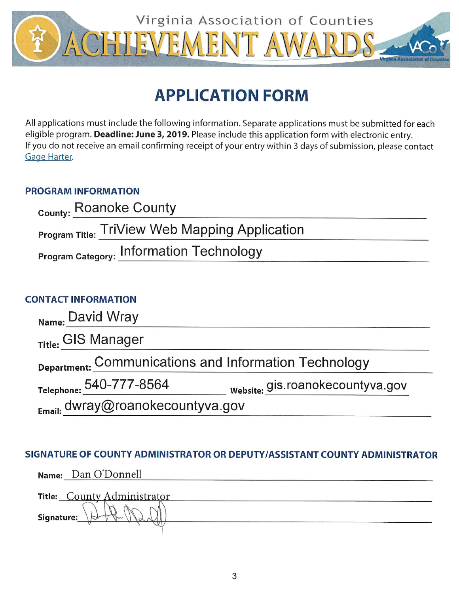

# **APPLICATION FORM**

All applications must include the following information. Separate applications must be submitted for each eligible program. Deadline: June 3, 2019. Please include this application form with electronic entry. If you do not receive an email confirming receipt of your entry within 3 days of submission, please contact Gage Harter.

## **PROGRAM INFORMATION**

| <sub>County:</sub> Roanoke County                     |  |
|-------------------------------------------------------|--|
| <b>Program Title: TriView Web Mapping Application</b> |  |
| Program Category: Information Technology              |  |

## **CONTACT INFORMATION**

| Name: David Wray                                      |                                  |
|-------------------------------------------------------|----------------------------------|
| Title: GIS Manager                                    |                                  |
| Department: Communications and Information Technology |                                  |
| Telephone: 540-777-8564                               | website: gis.roanokecountyva.gov |
| Email: dwray@roanokecountyva.gov                      |                                  |

## SIGNATURE OF COUNTY ADMINISTRATOR OR DEPUTY/ASSISTANT COUNTY ADMINISTRATOR

|            | Name: Dan O'Donnell         |
|------------|-----------------------------|
|            | Title: County Administrator |
| Signature: |                             |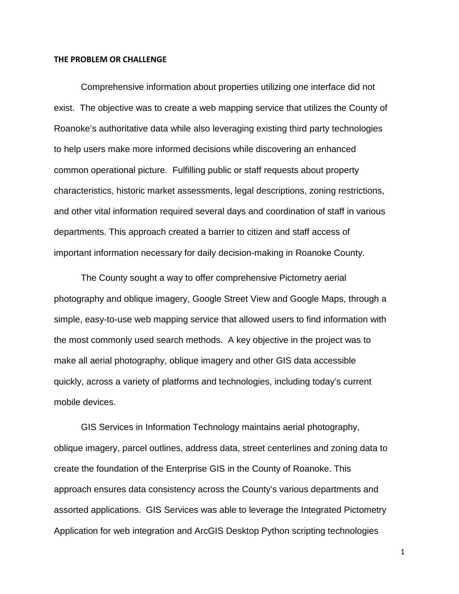#### **THE PROBLEM OR CHALLENGE**

Comprehensive information about properties utilizing one interface did not exist. The objective was to create a web mapping service that utilizes the County of Roanoke's authoritative data while also leveraging existing third party technologies to help users make more informed decisions while discovering an enhanced common operational picture. Fulfilling public or staff requests about property characteristics, historic market assessments, legal descriptions, zoning restrictions, and other vital information required several days and coordination of staff in various departments. This approach created a barrier to citizen and staff access of important information necessary for daily decision-making in Roanoke County.

The County sought a way to offer comprehensive Pictometry aerial photography and oblique imagery, Google Street View and Google Maps, through a simple, easy-to-use web mapping service that allowed users to find information with the most commonly used search methods. A key objective in the project was to make all aerial photography, oblique imagery and other GIS data accessible quickly, across a variety of platforms and technologies, including today's current mobile devices.

GIS Services in Information Technology maintains aerial photography, oblique imagery, parcel outlines, address data, street centerlines and zoning data to create the foundation of the Enterprise GIS in the County of Roanoke. This approach ensures data consistency across the County's various departments and assorted applications. GIS Services was able to leverage the Integrated Pictometry Application for web integration and ArcGIS Desktop Python scripting technologies

1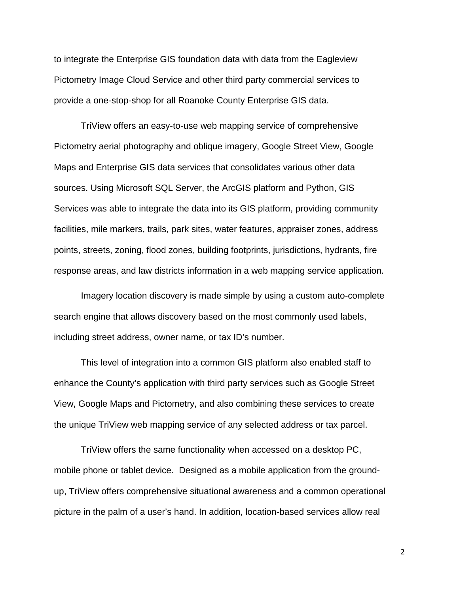to integrate the Enterprise GIS foundation data with data from the Eagleview Pictometry Image Cloud Service and other third party commercial services to provide a one-stop-shop for all Roanoke County Enterprise GIS data.

TriView offers an easy-to-use web mapping service of comprehensive Pictometry aerial photography and oblique imagery, Google Street View, Google Maps and Enterprise GIS data services that consolidates various other data sources. Using Microsoft SQL Server, the ArcGIS platform and Python, GIS Services was able to integrate the data into its GIS platform, providing community facilities, mile markers, trails, park sites, water features, appraiser zones, address points, streets, zoning, flood zones, building footprints, jurisdictions, hydrants, fire response areas, and law districts information in a web mapping service application.

Imagery location discovery is made simple by using a custom auto-complete search engine that allows discovery based on the most commonly used labels, including street address, owner name, or tax ID's number.

This level of integration into a common GIS platform also enabled staff to enhance the County's application with third party services such as Google Street View, Google Maps and Pictometry, and also combining these services to create the unique TriView web mapping service of any selected address or tax parcel.

TriView offers the same functionality when accessed on a desktop PC, mobile phone or tablet device. Designed as a mobile application from the groundup, TriView offers comprehensive situational awareness and a common operational picture in the palm of a user's hand. In addition, location-based services allow real

2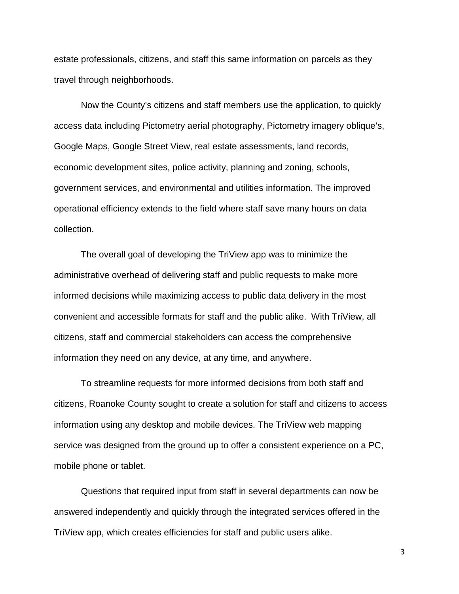estate professionals, citizens, and staff this same information on parcels as they travel through neighborhoods.

Now the County's citizens and staff members use the application, to quickly access data including Pictometry aerial photography, Pictometry imagery oblique's, Google Maps, Google Street View, real estate assessments, land records, economic development sites, police activity, planning and zoning, schools, government services, and environmental and utilities information. The improved operational efficiency extends to the field where staff save many hours on data collection.

The overall goal of developing the TriView app was to minimize the administrative overhead of delivering staff and public requests to make more informed decisions while maximizing access to public data delivery in the most convenient and accessible formats for staff and the public alike. With TriView, all citizens, staff and commercial stakeholders can access the comprehensive information they need on any device, at any time, and anywhere.

To streamline requests for more informed decisions from both staff and citizens, Roanoke County sought to create a solution for staff and citizens to access information using any desktop and mobile devices. The TriView web mapping service was designed from the ground up to offer a consistent experience on a PC, mobile phone or tablet.

Questions that required input from staff in several departments can now be answered independently and quickly through the integrated services offered in the TriView app, which creates efficiencies for staff and public users alike.

3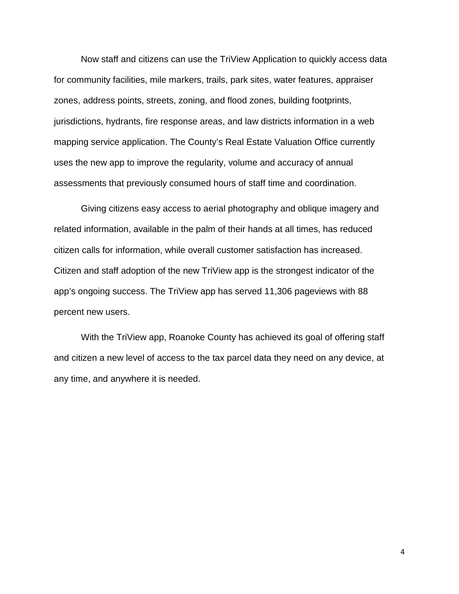Now staff and citizens can use the TriView Application to quickly access data for community facilities, mile markers, trails, park sites, water features, appraiser zones, address points, streets, zoning, and flood zones, building footprints, jurisdictions, hydrants, fire response areas, and law districts information in a web mapping service application. The County's Real Estate Valuation Office currently uses the new app to improve the regularity, volume and accuracy of annual assessments that previously consumed hours of staff time and coordination.

Giving citizens easy access to aerial photography and oblique imagery and related information, available in the palm of their hands at all times, has reduced citizen calls for information, while overall customer satisfaction has increased. Citizen and staff adoption of the new TriView app is the strongest indicator of the app's ongoing success. The TriView app has served 11,306 pageviews with 88 percent new users.

With the TriView app, Roanoke County has achieved its goal of offering staff and citizen a new level of access to the tax parcel data they need on any device, at any time, and anywhere it is needed.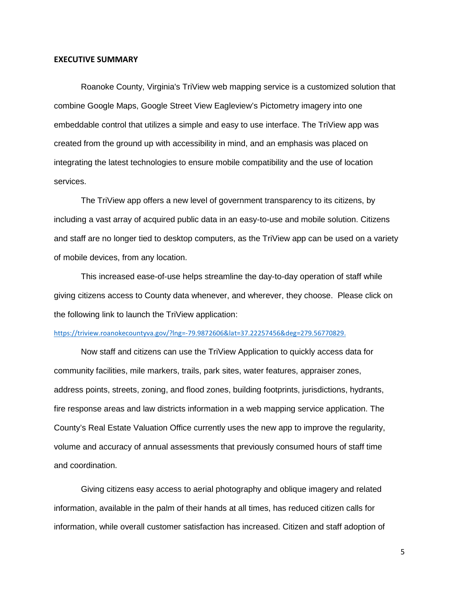#### **EXECUTIVE SUMMARY**

Roanoke County, Virginia's TriView web mapping service is a customized solution that combine Google Maps, Google Street View Eagleview's Pictometry imagery into one embeddable control that utilizes a simple and easy to use interface. The TriView app was created from the ground up with accessibility in mind, and an emphasis was placed on integrating the latest technologies to ensure mobile compatibility and the use of location services.

The TriView app offers a new level of government transparency to its citizens, by including a vast array of acquired public data in an easy-to-use and mobile solution. Citizens and staff are no longer tied to desktop computers, as the TriView app can be used on a variety of mobile devices, from any location.

This increased ease-of-use helps streamline the day-to-day operation of staff while giving citizens access to County data whenever, and wherever, they choose. Please click on the following link to launch the TriView application:

### [https://triview.roanokecountyva.gov/?lng=-79.9872606&lat=37.22257456&deg=279.56770829.](https://triview.roanokecountyva.gov/?lng=-79.9872606&lat=37.22257456°=279.56770829)

Now staff and citizens can use the TriView Application to quickly access data for community facilities, mile markers, trails, park sites, water features, appraiser zones, address points, streets, zoning, and flood zones, building footprints, jurisdictions, hydrants, fire response areas and law districts information in a web mapping service application. The County's Real Estate Valuation Office currently uses the new app to improve the regularity, volume and accuracy of annual assessments that previously consumed hours of staff time and coordination.

Giving citizens easy access to aerial photography and oblique imagery and related information, available in the palm of their hands at all times, has reduced citizen calls for information, while overall customer satisfaction has increased. Citizen and staff adoption of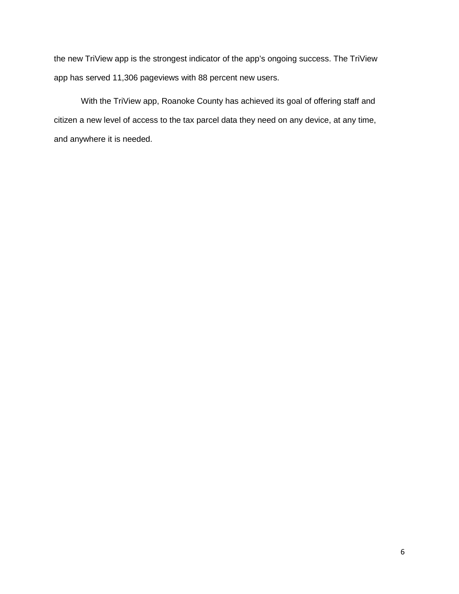the new TriView app is the strongest indicator of the app's ongoing success. The TriView app has served 11,306 pageviews with 88 percent new users.

With the TriView app, Roanoke County has achieved its goal of offering staff and citizen a new level of access to the tax parcel data they need on any device, at any time, and anywhere it is needed.